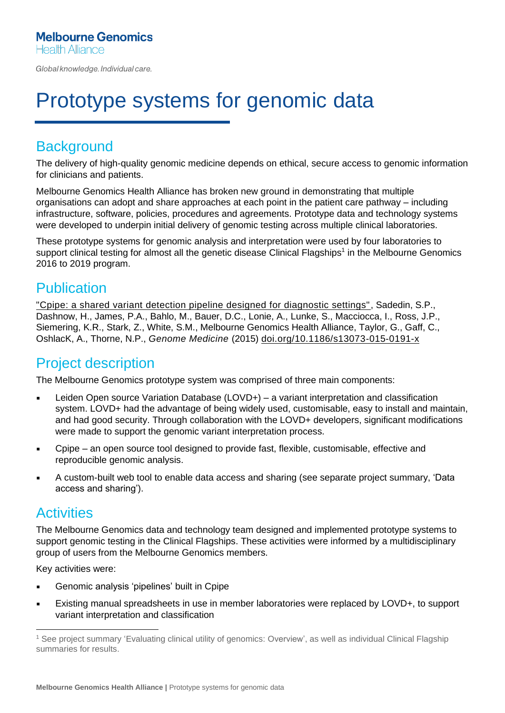Global knowledge. Individual care.

# Prototype systems for genomic data

# **Background**

The delivery of high-quality genomic medicine depends on ethical, secure access to genomic information for clinicians and patients.

Melbourne Genomics Health Alliance has broken new ground in demonstrating that multiple organisations can adopt and share approaches at each point in the patient care pathway – including infrastructure, software, policies, procedures and agreements. Prototype data and technology systems were developed to underpin initial delivery of genomic testing across multiple clinical laboratories.

These prototype systems for genomic analysis and interpretation were used by four laboratories to support clinical testing for almost all the genetic disease Clinical Flagships<sup>1</sup> in the Melbourne Genomics 2016 to 2019 program.

## **Publication**

["Cpipe: a shared variant detection pipeline designed for diagnostic settings",](https://genomemedicine.biomedcentral.com/articles/10.1186/s13073-015-0191-x) Sadedin, S.P., Dashnow, H., James, P.A., Bahlo, M., Bauer, D.C., Lonie, A., Lunke, S., Macciocca, I., Ross, J.P., Siemering, K.R., Stark, Z., White, S.M., Melbourne Genomics Health Alliance, Taylor, G., Gaff, C., OshlacK, A., Thorne, N.P., *Genome Medicine* (2015) [doi.org/10.1186/s13073-015-0191-x](https://genomemedicine.biomedcentral.com/articles/10.1186/s13073-015-0191-x)

## Project description

The Melbourne Genomics prototype system was comprised of three main components:

- Leiden Open source Variation Database (LOVD+) a variant interpretation and classification system. LOVD+ had the advantage of being widely used, customisable, easy to install and maintain, and had good security. Through collaboration with the LOVD+ developers, significant modifications were made to support the genomic variant interpretation process.
- Cpipe an open source tool designed to provide fast, flexible, customisable, effective and reproducible genomic analysis.
- A custom-built web tool to enable data access and sharing (see separate project summary, 'Data access and sharing').

### **Activities**

The Melbourne Genomics data and technology team designed and implemented prototype systems to support genomic testing in the Clinical Flagships. These activities were informed by a multidisciplinary group of users from the Melbourne Genomics members.

Key activities were:

- Genomic analysis 'pipelines' built in Cpipe
- Existing manual spreadsheets in use in member laboratories were replaced by LOVD+, to support variant interpretation and classification

<sup>1</sup> See project summary 'Evaluating clinical utility of genomics: Overview', as well as individual Clinical Flagship summaries for results.